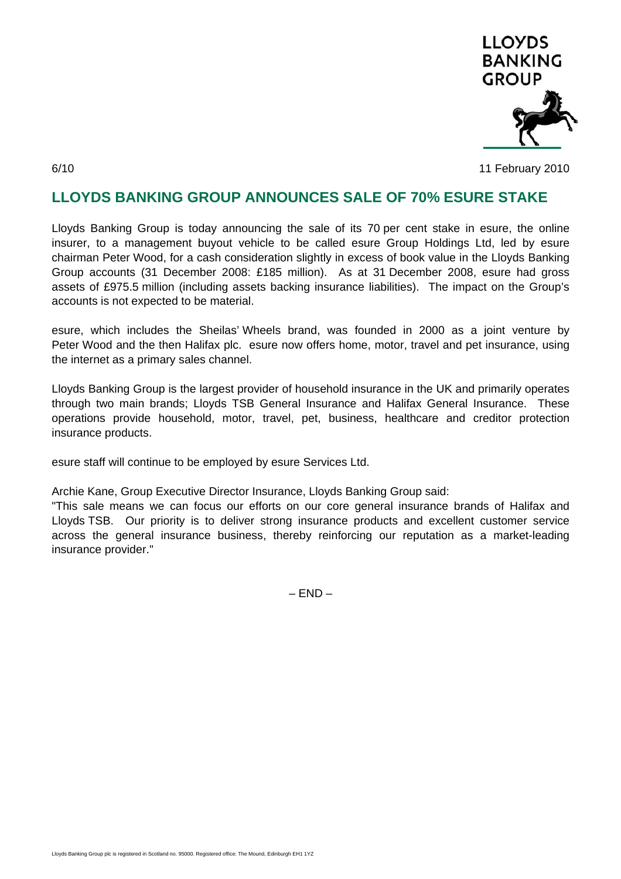

6/10 11 February 2010

## **LLOYDS BANKING GROUP ANNOUNCES SALE OF 70% ESURE STAKE**

Lloyds Banking Group is today announcing the sale of its 70 per cent stake in esure, the online insurer, to a management buyout vehicle to be called esure Group Holdings Ltd, led by esure chairman Peter Wood, for a cash consideration slightly in excess of book value in the Lloyds Banking Group accounts (31 December 2008: £185 million). As at 31 December 2008, esure had gross assets of £975.5 million (including assets backing insurance liabilities). The impact on the Group's accounts is not expected to be material.

esure, which includes the Sheilas' Wheels brand, was founded in 2000 as a joint venture by Peter Wood and the then Halifax plc. esure now offers home, motor, travel and pet insurance, using the internet as a primary sales channel.

Lloyds Banking Group is the largest provider of household insurance in the UK and primarily operates through two main brands; Lloyds TSB General Insurance and Halifax General Insurance. These operations provide household, motor, travel, pet, business, healthcare and creditor protection insurance products.

esure staff will continue to be employed by esure Services Ltd.

Archie Kane, Group Executive Director Insurance, Lloyds Banking Group said:

"This sale means we can focus our efforts on our core general insurance brands of Halifax and Lloyds TSB. Our priority is to deliver strong insurance products and excellent customer service across the general insurance business, thereby reinforcing our reputation as a market-leading insurance provider."

– END –